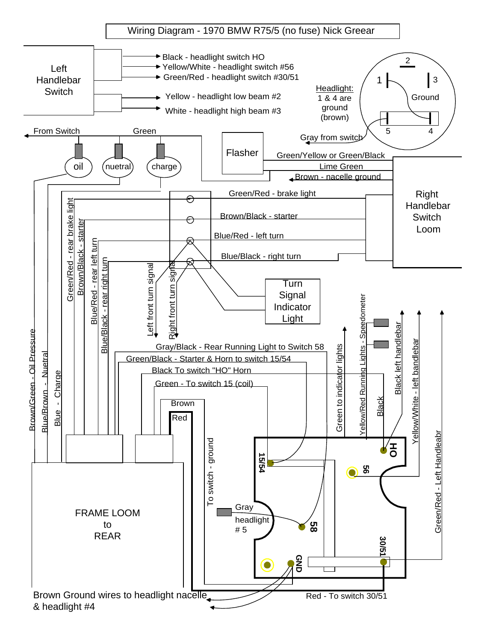